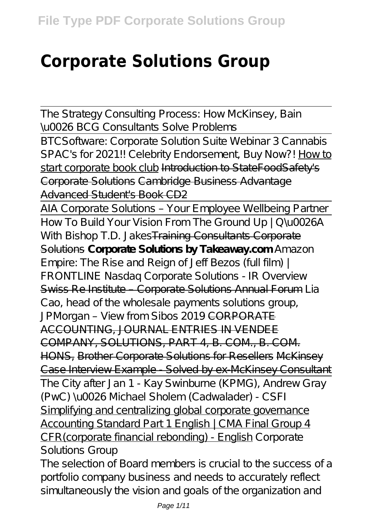# **Corporate Solutions Group**

The Strategy Consulting Process: How McKinsey, Bain \u0026 BCG Consultants Solve Problems

BTCSoftware: Corporate Solution Suite Webinar 3 Cannabis SPAC's for 2021!! Celebrity Endorsement, Buy Now?! How to start corporate book club Introduction to StateFoodSafety's Corporate Solutions Cambridge Business Advantage Advanced Student's Book CD2

AIA Corporate Solutions – Your Employee Wellbeing Partner How To Build Your Vision From The Ground Up | Q\u0026A With Bishop T.D. Jakes<del>Training Consultants Corporate</del> Solutions **Corporate Solutions by Takeaway.com** *Amazon Empire: The Rise and Reign of Jeff Bezos (full film) | FRONTLINE Nasdaq Corporate Solutions - IR Overview* Swiss Re Institute – Corporate Solutions Annual Forum *Lia Cao, head of the wholesale payments solutions group, JPMorgan - View from Sibos 2019* CORPORATE ACCOUNTING, JOURNAL ENTRIES IN VENDEE COMPANY, SOLUTIONS, PART 4, B. COM., B. COM. HONS, Brother Corporate Solutions for Resellers McKinsey Case Interview Example - Solved by ex-McKinsey Consultant The City after Jan 1 - Kay Swinburne (KPMG), Andrew Gray (PwC) \u0026 Michael Sholem (Cadwalader) - CSFI Simplifying and centralizing global corporate governance Accounting Standard Part 1 English | CMA Final Group 4 CFR(corporate financial rebonding) - English *Corporate Solutions Group*

The selection of Board members is crucial to the success of a portfolio company business and needs to accurately reflect simultaneously the vision and goals of the organization and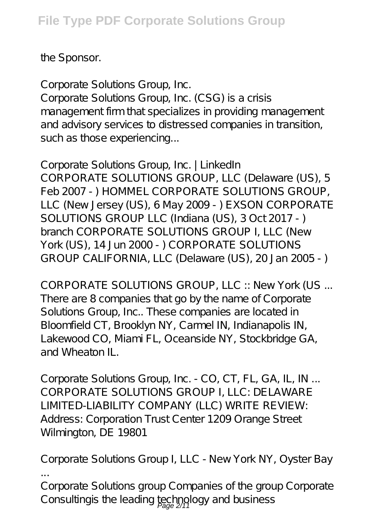the Sponsor.

*Corporate Solutions Group, Inc.*

Corporate Solutions Group, Inc. (CSG) is a crisis management firm that specializes in providing management and advisory services to distressed companies in transition, such as those experiencing...

*Corporate Solutions Group, Inc. | LinkedIn* CORPORATE SOLUTIONS GROUP, LLC (Delaware (US), 5 Feb 2007 - ) HOMMEL CORPORATE SOLUTIONS GROUP, LLC (New Jersey (US), 6 May 2009 - ) EXSON CORPORATE SOLUTIONS GROUP LLC (Indiana (US), 3 Oct 2017 - ) branch CORPORATE SOLUTIONS GROUP I, LLC (New York (US), 14 Jun 2000 - ) CORPORATE SOLUTIONS GROUP CALIFORNIA, LLC (Delaware (US), 20 Jan 2005 - )

*CORPORATE SOLUTIONS GROUP, LLC :: New York (US ...* There are 8 companies that go by the name of Corporate Solutions Group, Inc.. These companies are located in Bloomfield CT, Brooklyn NY, Carmel IN, Indianapolis IN, Lakewood CO, Miami FL, Oceanside NY, Stockbridge GA, and Wheaton IL.

*Corporate Solutions Group, Inc. - CO, CT, FL, GA, IL, IN ...* CORPORATE SOLUTIONS GROUP I, LLC: DELAWARE LIMITED-LIABILITY COMPANY (LLC) WRITE REVIEW: Address: Corporation Trust Center 1209 Orange Street Wilmington, DE 19801

*Corporate Solutions Group I, LLC - New York NY, Oyster Bay ...*

Corporate Solutions group Companies of the group Corporate Consultingis the leading technology and business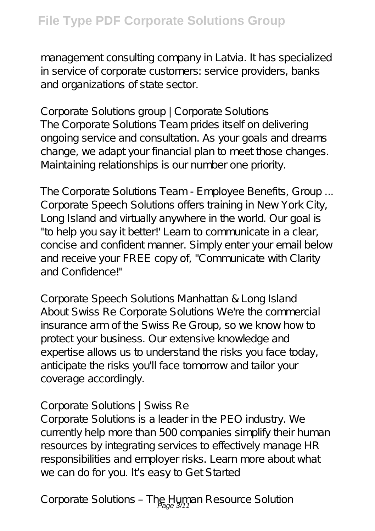management consulting company in Latvia. It has specialized in service of corporate customers: service providers, banks and organizations of state sector.

*Corporate Solutions group | Corporate Solutions* The Corporate Solutions Team prides itself on delivering ongoing service and consultation. As your goals and dreams change, we adapt your financial plan to meet those changes. Maintaining relationships is our number one priority.

*The Corporate Solutions Team - Employee Benefits, Group ...* Corporate Speech Solutions offers training in New York City, Long Island and virtually anywhere in the world. Our goal is "to help you say it better!' Learn to communicate in a clear, concise and confident manner. Simply enter your email below and receive your FREE copy of, "Communicate with Clarity and Confidence!"

*Corporate Speech Solutions Manhattan & Long Island* About Swiss Re Corporate Solutions We're the commercial insurance arm of the Swiss Re Group, so we know how to protect your business. Our extensive knowledge and expertise allows us to understand the risks you face today, anticipate the risks you'll face tomorrow and tailor your coverage accordingly.

#### *Corporate Solutions | Swiss Re*

Corporate Solutions is a leader in the PEO industry. We currently help more than 500 companies simplify their human resources by integrating services to effectively manage HR responsibilities and employer risks. Learn more about what we can do for you. It's easy to Get Started

Corporate Solutions - The Human Resource Solution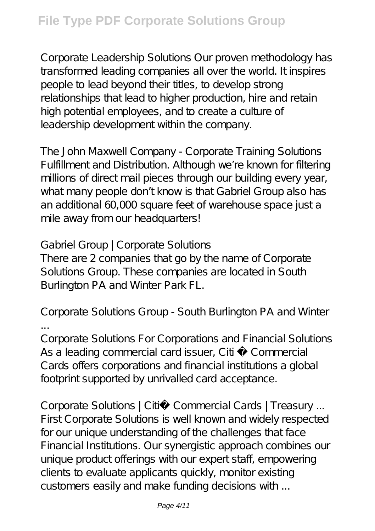Corporate Leadership Solutions Our proven methodology has transformed leading companies all over the world. It inspires people to lead beyond their titles, to develop strong relationships that lead to higher production, hire and retain high potential employees, and to create a culture of leadership development within the company.

*The John Maxwell Company - Corporate Training Solutions* Fulfillment and Distribution. Although we're known for filtering millions of direct mail pieces through our building every year, what many people don't know is that Gabriel Group also has an additional 60,000 square feet of warehouse space just a mile away from our headquarters!

#### *Gabriel Group | Corporate Solutions*

There are 2 companies that go by the name of Corporate Solutions Group. These companies are located in South Burlington PA and Winter Park FL.

# *Corporate Solutions Group - South Burlington PA and Winter ...*

Corporate Solutions For Corporations and Financial Solutions As a leading commercial card issuer, Citi ® Commercial Cards offers corporations and financial institutions a global footprint supported by unrivalled card acceptance.

*Corporate Solutions | Citi® Commercial Cards | Treasury ...* First Corporate Solutions is well known and widely respected for our unique understanding of the challenges that face Financial Institutions. Our synergistic approach combines our unique product offerings with our expert staff, empowering clients to evaluate applicants quickly, monitor existing customers easily and make funding decisions with ...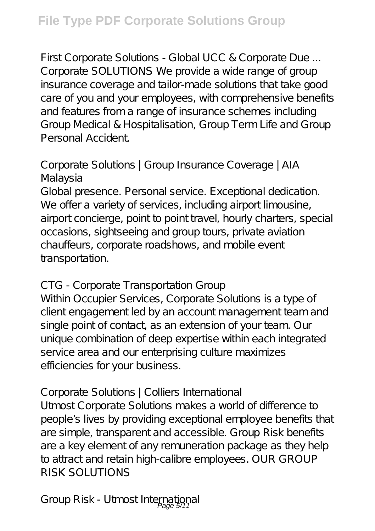*First Corporate Solutions - Global UCC & Corporate Due ...* Corporate SOLUTIONS We provide a wide range of group insurance coverage and tailor-made solutions that take good care of you and your employees, with comprehensive benefits and features from a range of insurance schemes including Group Medical & Hospitalisation, Group Term Life and Group Personal Accident.

# *Corporate Solutions | Group Insurance Coverage | AIA Malaysia*

Global presence. Personal service. Exceptional dedication. We offer a variety of services, including airport limousine, airport concierge, point to point travel, hourly charters, special occasions, sightseeing and group tours, private aviation chauffeurs, corporate roadshows, and mobile event transportation.

# *CTG - Corporate Transportation Group*

Within Occupier Services, Corporate Solutions is a type of client engagement led by an account management team and single point of contact, as an extension of your team. Our unique combination of deep expertise within each integrated service area and our enterprising culture maximizes efficiencies for your business.

# *Corporate Solutions | Colliers International*

Utmost Corporate Solutions makes a world of difference to people's lives by providing exceptional employee benefits that are simple, transparent and accessible. Group Risk benefits are a key element of any remuneration package as they help to attract and retain high-calibre employees. OUR GROUP RISK SOLUTIONS

*Group Risk - Utmost International* Page 5/11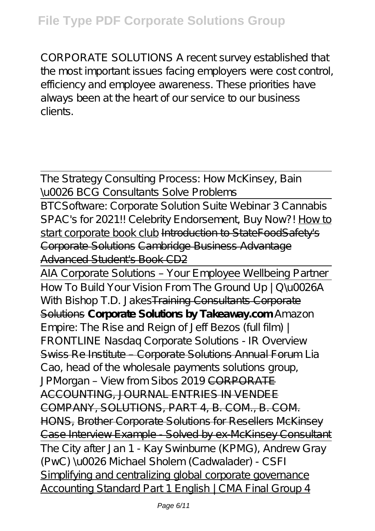# **File Type PDF Corporate Solutions Group**

CORPORATE SOLUTIONS A recent survey established that the most important issues facing employers were cost control, efficiency and employee awareness. These priorities have always been at the heart of our service to our business clients.

The Strategy Consulting Process: How McKinsey, Bain \u0026 BCG Consultants Solve Problems

BTCSoftware: Corporate Solution Suite Webinar 3 Cannabis SPAC's for 2021!! Celebrity Endorsement, Buy Now?! How to start corporate book club Introduction to StateFoodSafety's Corporate Solutions Cambridge Business Advantage Advanced Student's Book CD2

AIA Corporate Solutions – Your Employee Wellbeing Partner How To Build Your Vision From The Ground Up | Q U0026A With Bishop T.D. Jakes<del>Training Consultants Corporate</del> Solutions **Corporate Solutions by Takeaway.com** *Amazon Empire: The Rise and Reign of Jeff Bezos (full film) | FRONTLINE Nasdaq Corporate Solutions - IR Overview* Swiss Re Institute – Corporate Solutions Annual Forum *Lia Cao, head of the wholesale payments solutions group,* JPMorgan - View from Sibos 2019<del>CORPORATE</del> ACCOUNTING, JOURNAL ENTRIES IN VENDEE COMPANY, SOLUTIONS, PART 4, B. COM., B. COM. HONS, Brother Corporate Solutions for Resellers McKinsey Case Interview Example - Solved by ex-McKinsey Consultant The City after Jan 1 - Kay Swinburne (KPMG), Andrew Gray (PwC) \u0026 Michael Sholem (Cadwalader) - CSFI Simplifying and centralizing global corporate governance Accounting Standard Part 1 English | CMA Final Group 4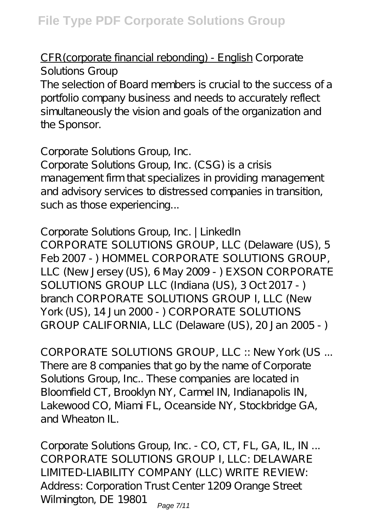#### CFR(corporate financial rebonding) - English *Corporate Solutions Group*

The selection of Board members is crucial to the success of a portfolio company business and needs to accurately reflect simultaneously the vision and goals of the organization and the Sponsor.

#### *Corporate Solutions Group, Inc.*

Corporate Solutions Group, Inc. (CSG) is a crisis management firm that specializes in providing management and advisory services to distressed companies in transition, such as those experiencing...

#### *Corporate Solutions Group, Inc. | LinkedIn*

CORPORATE SOLUTIONS GROUP, LLC (Delaware (US), 5 Feb 2007 - ) HOMMEL CORPORATE SOLUTIONS GROUP, LLC (New Jersey (US), 6 May 2009 - ) EXSON CORPORATE SOLUTIONS GROUP LLC (Indiana (US), 3 Oct 2017 - ) branch CORPORATE SOLUTIONS GROUP I, LLC (New York (US), 14 Jun 2000 - ) CORPORATE SOLUTIONS GROUP CALIFORNIA, LLC (Delaware (US), 20 Jan 2005 - )

*CORPORATE SOLUTIONS GROUP, LLC :: New York (US ...* There are 8 companies that go by the name of Corporate Solutions Group, Inc.. These companies are located in Bloomfield CT, Brooklyn NY, Carmel IN, Indianapolis IN, Lakewood CO, Miami FL, Oceanside NY, Stockbridge GA, and Wheaton IL.

*Corporate Solutions Group, Inc. - CO, CT, FL, GA, IL, IN ...* CORPORATE SOLUTIONS GROUP I, LLC: DELAWARE LIMITED-LIABILITY COMPANY (LLC) WRITE REVIEW: Address: Corporation Trust Center 1209 Orange Street Wilmington, DE 19801  $_{\text{Page 7/11}}$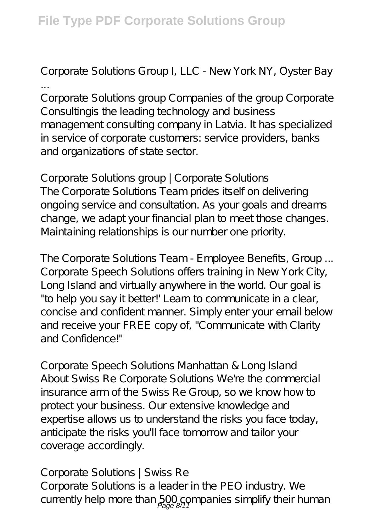# *Corporate Solutions Group I, LLC - New York NY, Oyster Bay*

*...* Corporate Solutions group Companies of the group Corporate Consultingis the leading technology and business management consulting company in Latvia. It has specialized in service of corporate customers: service providers, banks and organizations of state sector.

#### *Corporate Solutions group | Corporate Solutions* The Corporate Solutions Team prides itself on delivering ongoing service and consultation. As your goals and dreams change, we adapt your financial plan to meet those changes.

Maintaining relationships is our number one priority.

*The Corporate Solutions Team - Employee Benefits, Group ...* Corporate Speech Solutions offers training in New York City, Long Island and virtually anywhere in the world. Our goal is "to help you say it better!' Learn to communicate in a clear, concise and confident manner. Simply enter your email below and receive your FREE copy of, "Communicate with Clarity and Confidence!"

*Corporate Speech Solutions Manhattan & Long Island* About Swiss Re Corporate Solutions We're the commercial insurance arm of the Swiss Re Group, so we know how to protect your business. Our extensive knowledge and expertise allows us to understand the risks you face today, anticipate the risks you'll face tomorrow and tailor your coverage accordingly.

#### *Corporate Solutions | Swiss Re*

Corporate Solutions is a leader in the PEO industry. We currently help more than  $500$  companies simplify their human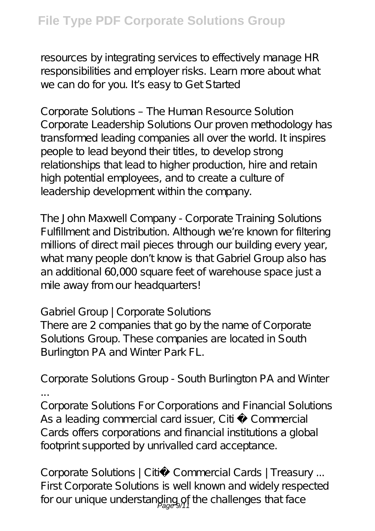resources by integrating services to effectively manage HR responsibilities and employer risks. Learn more about what we can do for you. It's easy to Get Started

*Corporate Solutions – The Human Resource Solution* Corporate Leadership Solutions Our proven methodology has transformed leading companies all over the world. It inspires people to lead beyond their titles, to develop strong relationships that lead to higher production, hire and retain high potential employees, and to create a culture of leadership development within the company.

*The John Maxwell Company - Corporate Training Solutions* Fulfillment and Distribution. Although we're known for filtering millions of direct mail pieces through our building every year, what many people don't know is that Gabriel Group also has an additional 60,000 square feet of warehouse space just a mile away from our headquarters!

#### *Gabriel Group | Corporate Solutions*

There are 2 companies that go by the name of Corporate Solutions Group. These companies are located in South Burlington PA and Winter Park FL.

# *Corporate Solutions Group - South Burlington PA and Winter ...*

Corporate Solutions For Corporations and Financial Solutions As a leading commercial card issuer, Citi ® Commercial Cards offers corporations and financial institutions a global footprint supported by unrivalled card acceptance.

*Corporate Solutions | Citi® Commercial Cards | Treasury ...* First Corporate Solutions is well known and widely respected for our unique understanding of the challenges that face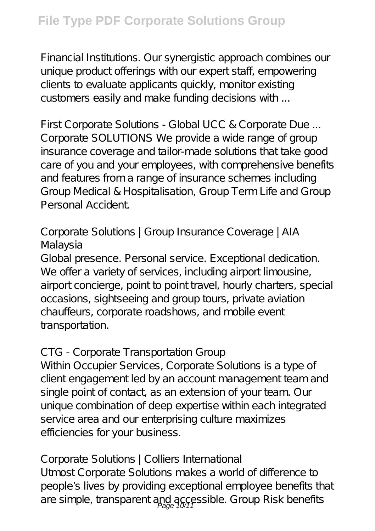Financial Institutions. Our synergistic approach combines our unique product offerings with our expert staff, empowering clients to evaluate applicants quickly, monitor existing customers easily and make funding decisions with ...

*First Corporate Solutions - Global UCC & Corporate Due ...* Corporate SOLUTIONS We provide a wide range of group insurance coverage and tailor-made solutions that take good care of you and your employees, with comprehensive benefits and features from a range of insurance schemes including Group Medical & Hospitalisation, Group Term Life and Group Personal Accident.

# *Corporate Solutions | Group Insurance Coverage | AIA Malaysia*

Global presence. Personal service. Exceptional dedication. We offer a variety of services, including airport limousine, airport concierge, point to point travel, hourly charters, special occasions, sightseeing and group tours, private aviation chauffeurs, corporate roadshows, and mobile event transportation.

# *CTG - Corporate Transportation Group*

Within Occupier Services, Corporate Solutions is a type of client engagement led by an account management team and single point of contact, as an extension of your team. Our unique combination of deep expertise within each integrated service area and our enterprising culture maximizes efficiencies for your business.

# *Corporate Solutions | Colliers International*

Utmost Corporate Solutions makes a world of difference to people's lives by providing exceptional employee benefits that are simple, transparent and accessible. Group Risk benefits